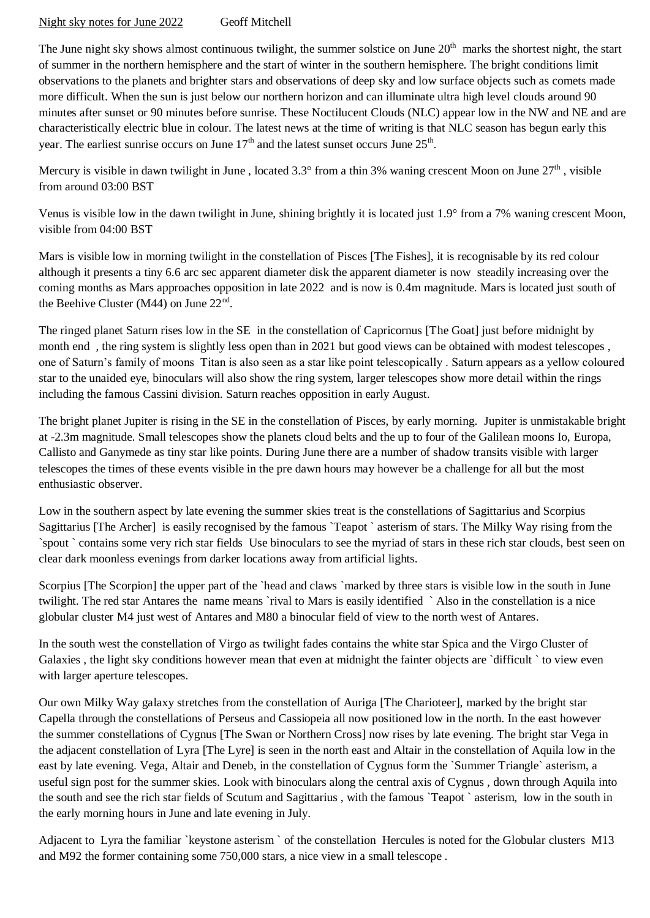Night sky notes for June 2022 Geoff Mitchell

The June night sky shows almost continuous twilight, the summer solstice on June  $20<sup>th</sup>$  marks the shortest night, the start of summer in the northern hemisphere and the start of winter in the southern hemisphere. The bright conditions limit observations to the planets and brighter stars and observations of deep sky and low surface objects such as comets made more difficult. When the sun is just below our northern horizon and can illuminate ultra high level clouds around 90 minutes after sunset or 90 minutes before sunrise. These Noctilucent Clouds (NLC) appear low in the NW and NE and are characteristically electric blue in colour. The latest news at the time of writing is that NLC season has begun early this year. The earliest sunrise occurs on June  $17<sup>th</sup>$  and the latest sunset occurs June  $25<sup>th</sup>$ .

Mercury is visible in dawn twilight in June, located  $3.3^\circ$  from a thin 3% waning crescent Moon on June  $27<sup>th</sup>$ , visible from around 03:00 BST

Venus is visible low in the dawn twilight in June, shining brightly it is located just 1.9° from a 7% waning crescent Moon, visible from 04:00 BST

Mars is visible low in morning twilight in the constellation of Pisces [The Fishes], it is recognisable by its red colour although it presents a tiny 6.6 arc sec apparent diameter disk the apparent diameter is now steadily increasing over the coming months as Mars approaches opposition in late 2022 and is now is 0.4m magnitude. Mars is located just south of the Beehive Cluster (M44) on June 22<sup>nd</sup>.

The ringed planet Saturn rises low in the SE in the constellation of Capricornus [The Goat] just before midnight by month end , the ring system is slightly less open than in 2021 but good views can be obtained with modest telescopes , one of Saturn's family of moons Titan is also seen as a star like point telescopically . Saturn appears as a yellow coloured star to the unaided eye, binoculars will also show the ring system, larger telescopes show more detail within the rings including the famous Cassini division. Saturn reaches opposition in early August.

The bright planet Jupiter is rising in the SE in the constellation of Pisces, by early morning. Jupiter is unmistakable bright at -2.3m magnitude. Small telescopes show the planets cloud belts and the up to four of the Galilean moons Io, Europa, Callisto and Ganymede as tiny star like points. During June there are a number of shadow transits visible with larger telescopes the times of these events visible in the pre dawn hours may however be a challenge for all but the most enthusiastic observer.

Low in the southern aspect by late evening the summer skies treat is the constellations of Sagittarius and Scorpius Sagittarius [The Archer] is easily recognised by the famous `Teapot ` asterism of stars. The Milky Way rising from the `spout ` contains some very rich star fields Use binoculars to see the myriad of stars in these rich star clouds, best seen on clear dark moonless evenings from darker locations away from artificial lights.

Scorpius [The Scorpion] the upper part of the `head and claws `marked by three stars is visible low in the south in June twilight. The red star Antares the name means `rival to Mars is easily identified ` Also in the constellation is a nice globular cluster M4 just west of Antares and M80 a binocular field of view to the north west of Antares.

In the south west the constellation of Virgo as twilight fades contains the white star Spica and the Virgo Cluster of Galaxies, the light sky conditions however mean that even at midnight the fainter objects are `difficult ` to view even with larger aperture telescopes.

Our own Milky Way galaxy stretches from the constellation of Auriga [The Charioteer], marked by the bright star Capella through the constellations of Perseus and Cassiopeia all now positioned low in the north. In the east however the summer constellations of Cygnus [The Swan or Northern Cross] now rises by late evening. The bright star Vega in the adjacent constellation of Lyra [The Lyre] is seen in the north east and Altair in the constellation of Aquila low in the east by late evening. Vega, Altair and Deneb, in the constellation of Cygnus form the `Summer Triangle` asterism, a useful sign post for the summer skies. Look with binoculars along the central axis of Cygnus , down through Aquila into the south and see the rich star fields of Scutum and Sagittarius , with the famous `Teapot ` asterism, low in the south in the early morning hours in June and late evening in July.

Adjacent to Lyra the familiar `keystone asterism ` of the constellation Hercules is noted for the Globular clusters M13 and M92 the former containing some 750,000 stars, a nice view in a small telescope .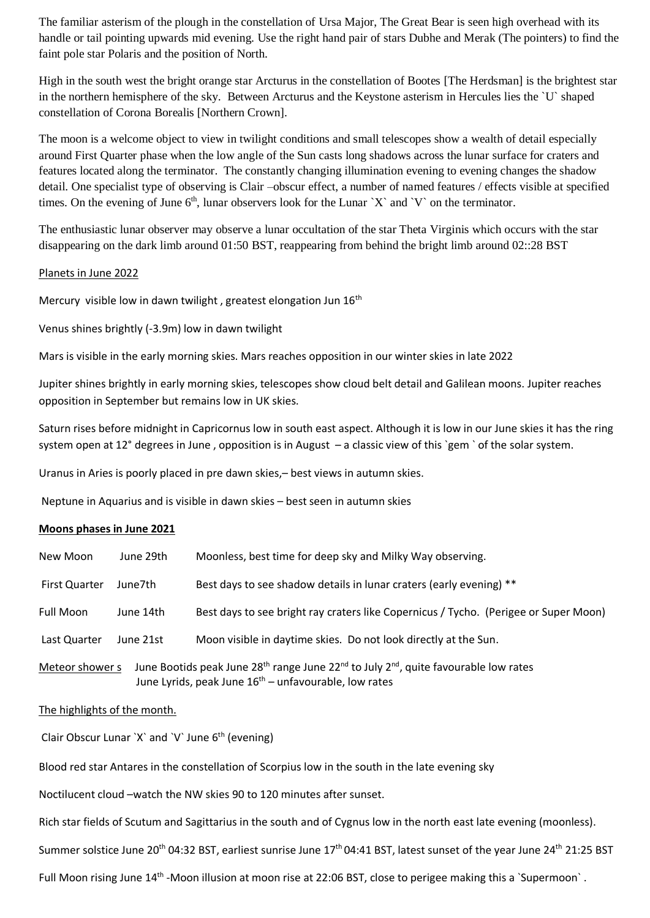The familiar asterism of the plough in the constellation of Ursa Major, The Great Bear is seen high overhead with its handle or tail pointing upwards mid evening. Use the right hand pair of stars Dubhe and Merak (The pointers) to find the faint pole star Polaris and the position of North.

High in the south west the bright orange star Arcturus in the constellation of Bootes [The Herdsman] is the brightest star in the northern hemisphere of the sky. Between Arcturus and the Keystone asterism in Hercules lies the `U` shaped constellation of Corona Borealis [Northern Crown].

The moon is a welcome object to view in twilight conditions and small telescopes show a wealth of detail especially around First Quarter phase when the low angle of the Sun casts long shadows across the lunar surface for craters and features located along the terminator. The constantly changing illumination evening to evening changes the shadow detail. One specialist type of observing is Clair –obscur effect, a number of named features / effects visible at specified times. On the evening of June  $6<sup>th</sup>$ , lunar observers look for the Lunar `X` and `V` on the terminator.

The enthusiastic lunar observer may observe a lunar occultation of the star Theta Virginis which occurs with the star disappearing on the dark limb around 01:50 BST, reappearing from behind the bright limb around 02::28 BST

## Planets in June 2022

Mercury visible low in dawn twilight, greatest elongation Jun 16<sup>th</sup>

Venus shines brightly (-3.9m) low in dawn twilight

Mars is visible in the early morning skies. Mars reaches opposition in our winter skies in late 2022

Jupiter shines brightly in early morning skies, telescopes show cloud belt detail and Galilean moons. Jupiter reaches opposition in September but remains low in UK skies.

Saturn rises before midnight in Capricornus low in south east aspect. Although it is low in our June skies it has the ring system open at 12° degrees in June , opposition is in August – a classic view of this `gem ` of the solar system.

Uranus in Aries is poorly placed in pre dawn skies,– best views in autumn skies.

Neptune in Aquarius and is visible in dawn skies – best seen in autumn skies

## **Moons phases in June 2021**

| New Moon             | June 29th | Moonless, best time for deep sky and Milky Way observing.                                                                                                                           |
|----------------------|-----------|-------------------------------------------------------------------------------------------------------------------------------------------------------------------------------------|
| <b>First Quarter</b> | June7th   | Best days to see shadow details in lunar craters (early evening) **                                                                                                                 |
| Full Moon            | June 14th | Best days to see bright ray craters like Copernicus / Tycho. (Perigee or Super Moon)                                                                                                |
| Last Quarter         | June 21st | Moon visible in daytime skies. Do not look directly at the Sun.                                                                                                                     |
| Meteor shower s      |           | June Bootids peak June 28 <sup>th</sup> range June 22 <sup>nd</sup> to July 2 <sup>nd</sup> , quite favourable low rates<br>June Lyrids, peak June $16th$ – unfavourable, low rates |

## The highlights of the month.

Clair Obscur Lunar `X` and `V` June 6<sup>th</sup> (evening)

Blood red star Antares in the constellation of Scorpius low in the south in the late evening sky

Noctilucent cloud –watch the NW skies 90 to 120 minutes after sunset.

Rich star fields of Scutum and Sagittarius in the south and of Cygnus low in the north east late evening (moonless).

Summer solstice June 20<sup>th</sup> 04:32 BST, earliest sunrise June 17<sup>th</sup> 04:41 BST, latest sunset of the year June 24<sup>th</sup> 21:25 BST

Full Moon rising June 14<sup>th</sup> -Moon illusion at moon rise at 22:06 BST, close to perigee making this a `Supermoon`.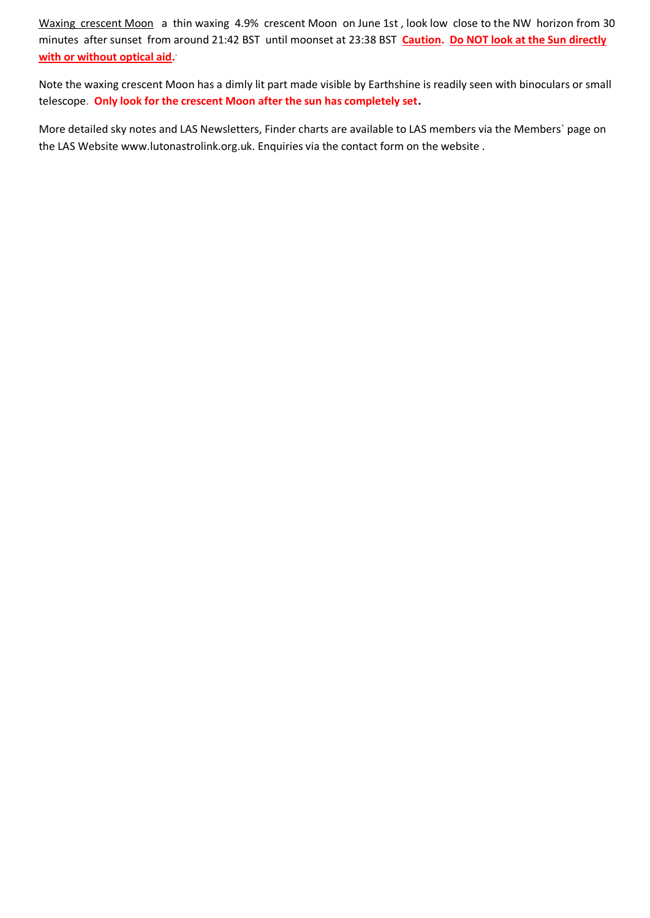Waxing crescent Moon a thin waxing 4.9% crescent Moon on June 1st, look low close to the NW horizon from 30 minutes after sunset from around 21:42 BST until moonset at 23:38 BST **Caution. Do NOT look at the Sun directly with or without optical aid. .**

Note the waxing crescent Moon has a dimly lit part made visible by Earthshine is readily seen with binoculars or small telescope. **Only look for the crescent Moon after the sun has completely set.**

More detailed sky notes and LAS Newsletters, Finder charts are available to LAS members via the Members` page on the LAS Website [www.lutonastrolink.org.uk.](http://www.lutonastrolink.org.uk/) Enquiries via the contact form on the website .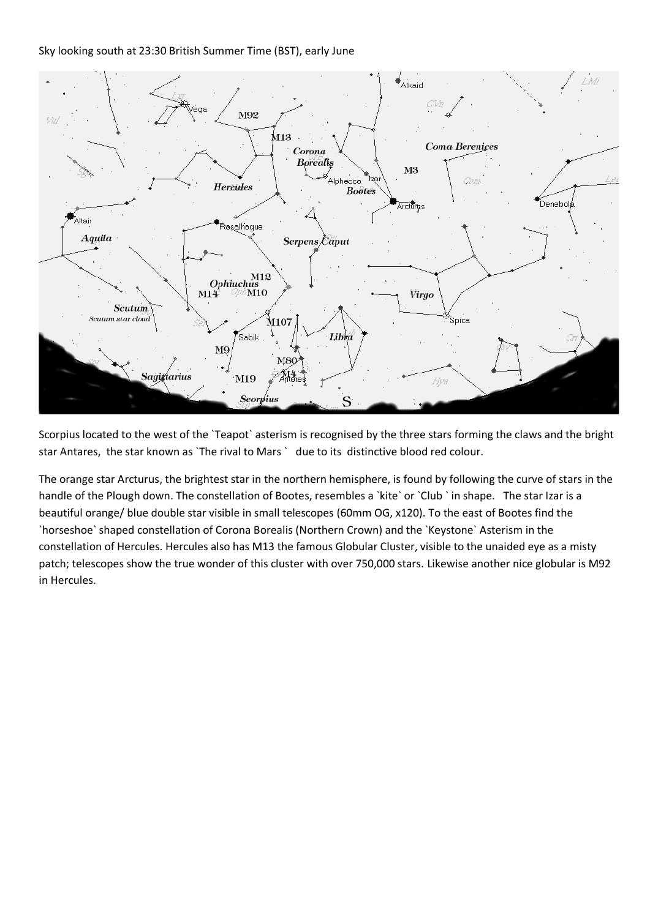Sky looking south at 23:30 British Summer Time (BST), early June



Scorpius located to the west of the `Teapot` asterism is recognised by the three stars forming the claws and the bright star Antares, the star known as `The rival to Mars ` due to its distinctive blood red colour.

The orange star Arcturus, the brightest star in the northern hemisphere, is found by following the curve of stars in the handle of the Plough down. The constellation of Bootes, resembles a `kite` or `Club ` in shape. The star Izar is a beautiful orange/ blue double star visible in small telescopes (60mm OG, x120). To the east of Bootes find the `horseshoe` shaped constellation of Corona Borealis (Northern Crown) and the `Keystone` Asterism in the constellation of Hercules. Hercules also has M13 the famous Globular Cluster, visible to the unaided eye as a misty patch; telescopes show the true wonder of this cluster with over 750,000 stars. Likewise another nice globular is M92 in Hercules.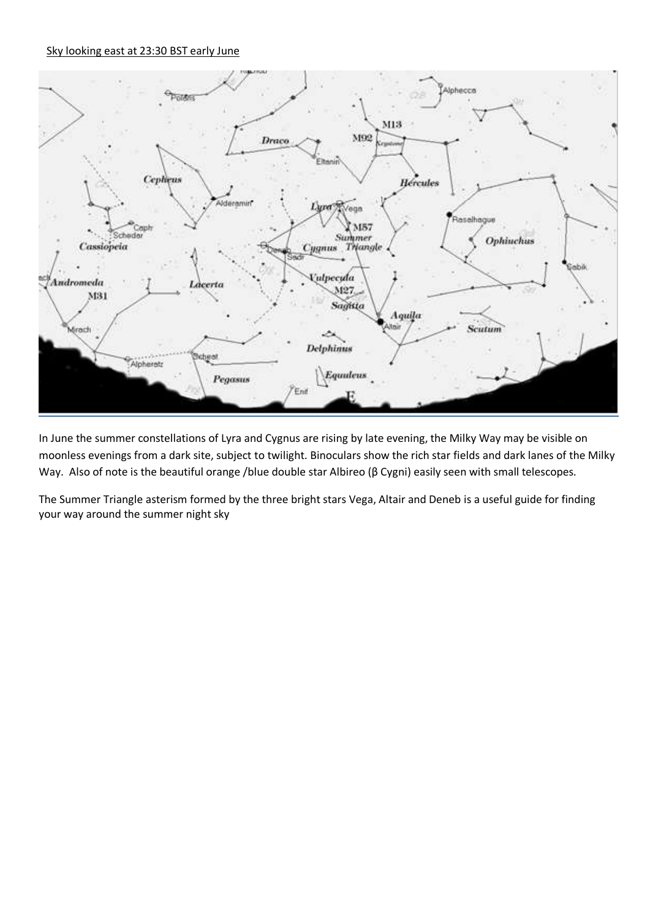## Sky looking east at 23:30 BST early June



In June the summer constellations of Lyra and Cygnus are rising by late evening, the Milky Way may be visible on moonless evenings from a dark site, subject to twilight. Binoculars show the rich star fields and dark lanes of the Milky Way. Also of note is the beautiful orange /blue double star Albireo (β Cygni) easily seen with small telescopes.

The Summer Triangle asterism formed by the three bright stars Vega, Altair and Deneb is a useful guide for finding your way around the summer night sky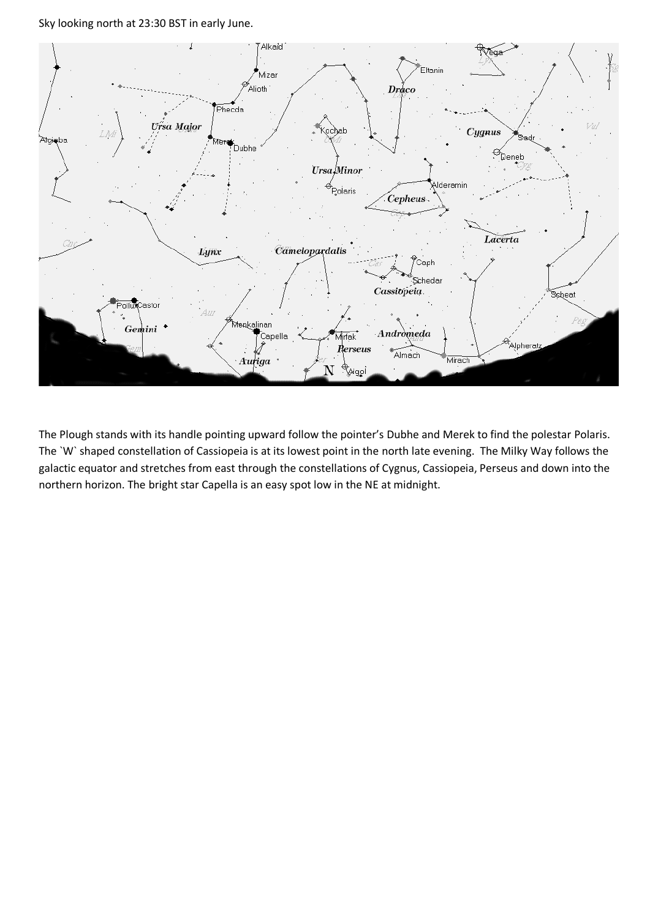Sky looking north at 23:30 BST in early June.



The Plough stands with its handle pointing upward follow the pointer's Dubhe and Merek to find the polestar Polaris. The `W` shaped constellation of Cassiopeia is at its lowest point in the north late evening. The Milky Way follows the galactic equator and stretches from east through the constellations of Cygnus, Cassiopeia, Perseus and down into the northern horizon. The bright star Capella is an easy spot low in the NE at midnight.